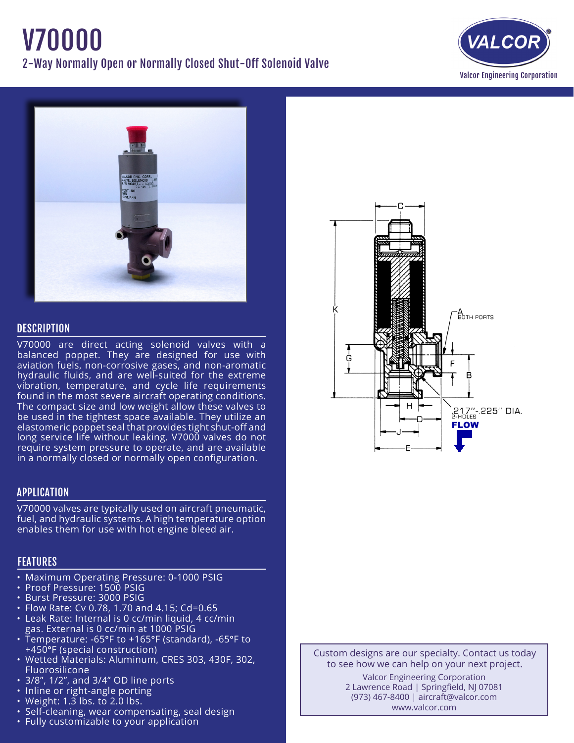# V70000 2-Way Normally Open or Normally Closed Shut-Off Solenoid Valve





## **DESCRIPTION**

V70000 are direct acting solenoid valves with a balanced poppet. They are designed for use with aviation fuels, non-corrosive gases, and non-aromatic hydraulic fluids, and are well-suited for the extreme vibration, temperature, and cycle life requirements found in the most severe aircraft operating conditions. The compact size and low weight allow these valves to be used in the tightest space available. They utilize an elastomeric poppet seal that provides tight shut-off and long service life without leaking. V7000 valves do not require system pressure to operate, and are available in a normally closed or normally open configuration.

## APPLICATION

V70000 valves are typically used on aircraft pneumatic, fuel, and hydraulic systems. A high temperature option enables them for use with hot engine bleed air.

# **FEATURES**

- Maximum Operating Pressure: 0-1000 PSIG
- • Proof Pressure: 1500 PSIG
- • Burst Pressure: 3000 PSIG
- • Flow Rate: Cv 0.78, 1.70 and 4.15; Cd=0.65
- • Leak Rate: Internal is 0 cc/min liquid, 4 cc/min gas. External is 0 cc/min at 1000 PSIG
- • Temperature: -65°F to +165°F (standard), -65°F to +450°F (special construction)
- Wetted Materials: Aluminum, CRES 303, 430F, 302, Fluorosilicone
- 3/8", 1/2", and 3/4" OD line ports
- Inline or right-angle porting
- Weight:  $1.\overline{3}$  lbs. to 2.0 lbs.
- Self-cleaning, wear compensating, seal design
- Fully customizable to your application



Custom designs are our specialty. Contact us today to see how we can help on your next project. Valcor Engineering Corporation 2 Lawrence Road | Springfield, NJ 07081 (973) 467-8400 | aircraft@valcor.com www.valcor.com